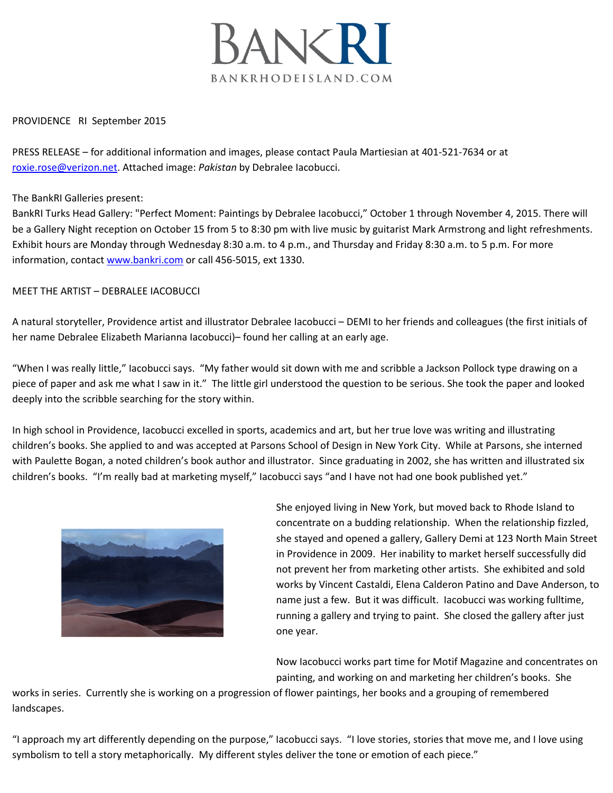

PROVIDENCE RI September 2015

PRESS RELEASE – for additional information and images, please contact Paula Martiesian at 401-521-7634 or at roxie.rose@verizon.net. Attached image: *Pakistan* by Debralee Iacobucci.

The BankRI Galleries present:

BankRI Turks Head Gallery: "Perfect Moment: Paintings by Debralee Iacobucci," October 1 through November 4, 2015. There will be a Gallery Night reception on October 15 from 5 to 8:30 pm with live music by guitarist Mark Armstrong and light refreshments. Exhibit hours are Monday through Wednesday 8:30 a.m. to 4 p.m., and Thursday and Friday 8:30 a.m. to 5 p.m. For more information, contac[t www.bankri.com](http://www.bankri.com/) or call 456-5015, ext 1330.

## MEET THE ARTIST – DEBRALEE IACOBUCCI

A natural storyteller, Providence artist and illustrator Debralee Iacobucci – DEMI to her friends and colleagues (the first initials of her name Debralee Elizabeth Marianna Iacobucci)– found her calling at an early age.

"When I was really little," Iacobucci says. "My father would sit down with me and scribble a Jackson Pollock type drawing on a piece of paper and ask me what I saw in it." The little girl understood the question to be serious. She took the paper and looked deeply into the scribble searching for the story within.

In high school in Providence, Iacobucci excelled in sports, academics and art, but her true love was writing and illustrating children's books. She applied to and was accepted at Parsons School of Design in New York City. While at Parsons, she interned with Paulette Bogan, a noted children's book author and illustrator. Since graduating in 2002, she has written and illustrated six children's books. "I'm really bad at marketing myself," Iacobucci says "and I have not had one book published yet."



She enjoyed living in New York, but moved back to Rhode Island to concentrate on a budding relationship. When the relationship fizzled, she stayed and opened a gallery, Gallery Demi at 123 North Main Street in Providence in 2009. Her inability to market herself successfully did not prevent her from marketing other artists. She exhibited and sold works by Vincent Castaldi, Elena Calderon Patino and Dave Anderson, to name just a few. But it was difficult. Iacobucci was working fulltime, running a gallery and trying to paint. She closed the gallery after just one year.

Now Iacobucci works part time for Motif Magazine and concentrates on painting, and working on and marketing her children's books. She

works in series. Currently she is working on a progression of flower paintings, her books and a grouping of remembered landscapes.

"I approach my art differently depending on the purpose," Iacobucci says. "I love stories, stories that move me, and I love using symbolism to tell a story metaphorically. My different styles deliver the tone or emotion of each piece."